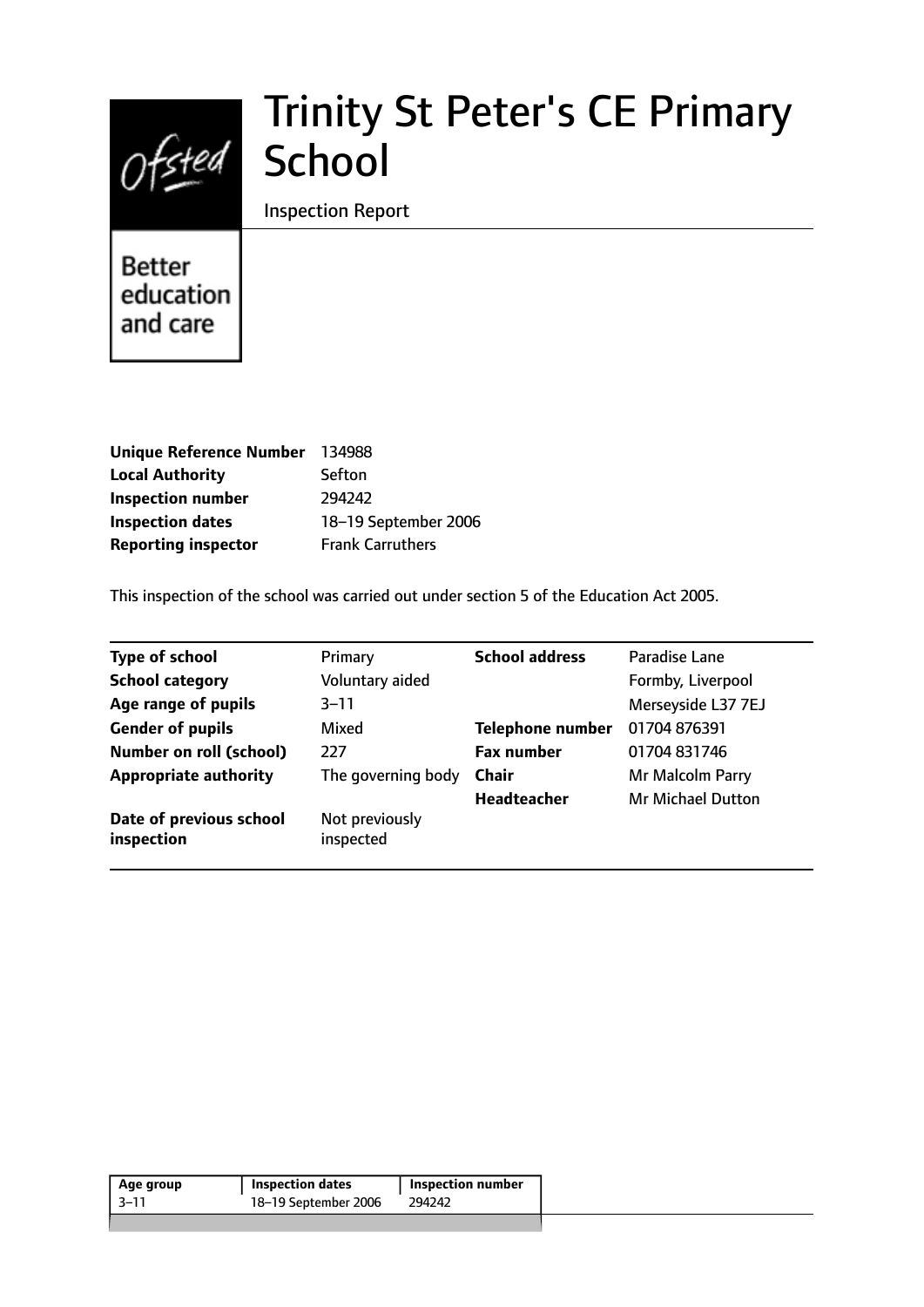

# Trinity St Peter's CE Primary School

Inspection Report

Better education and care

| <b>Unique Reference Number</b> | 134988                  |
|--------------------------------|-------------------------|
| <b>Local Authority</b>         | Sefton                  |
| <b>Inspection number</b>       | 294242                  |
| <b>Inspection dates</b>        | 18-19 September 2006    |
| <b>Reporting inspector</b>     | <b>Frank Carruthers</b> |

This inspection of the school was carried out under section 5 of the Education Act 2005.

| <b>Type of school</b>                 | Primary                     | <b>School address</b>   | Paradise Lane            |
|---------------------------------------|-----------------------------|-------------------------|--------------------------|
| <b>School category</b>                | Voluntary aided             |                         | Formby, Liverpool        |
| Age range of pupils                   | $3 - 11$                    |                         | Merseyside L37 7EJ       |
| <b>Gender of pupils</b>               | Mixed                       | <b>Telephone number</b> | 01704 876391             |
| <b>Number on roll (school)</b>        | 227                         | <b>Fax number</b>       | 01704 831746             |
| <b>Appropriate authority</b>          | The governing body          | <b>Chair</b>            | Mr Malcolm Parry         |
|                                       |                             | <b>Headteacher</b>      | <b>Mr Michael Dutton</b> |
| Date of previous school<br>inspection | Not previously<br>inspected |                         |                          |

| Age group | <b>Inspection dates</b> | <b>Inspection number</b> |  |
|-----------|-------------------------|--------------------------|--|
| -3–11     | 18–19 September 2006    | 294242                   |  |
|           |                         |                          |  |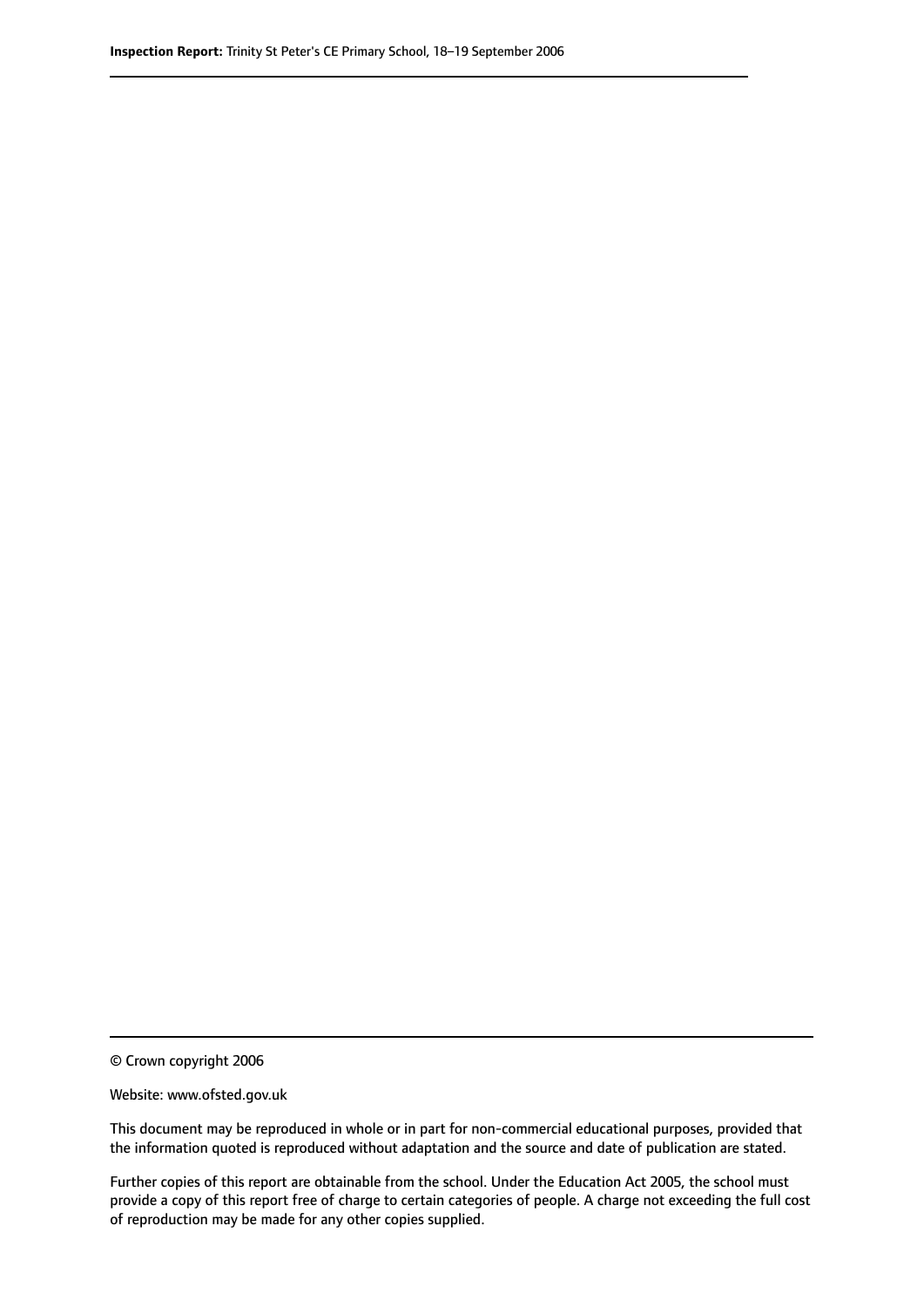© Crown copyright 2006

Website: www.ofsted.gov.uk

This document may be reproduced in whole or in part for non-commercial educational purposes, provided that the information quoted is reproduced without adaptation and the source and date of publication are stated.

Further copies of this report are obtainable from the school. Under the Education Act 2005, the school must provide a copy of this report free of charge to certain categories of people. A charge not exceeding the full cost of reproduction may be made for any other copies supplied.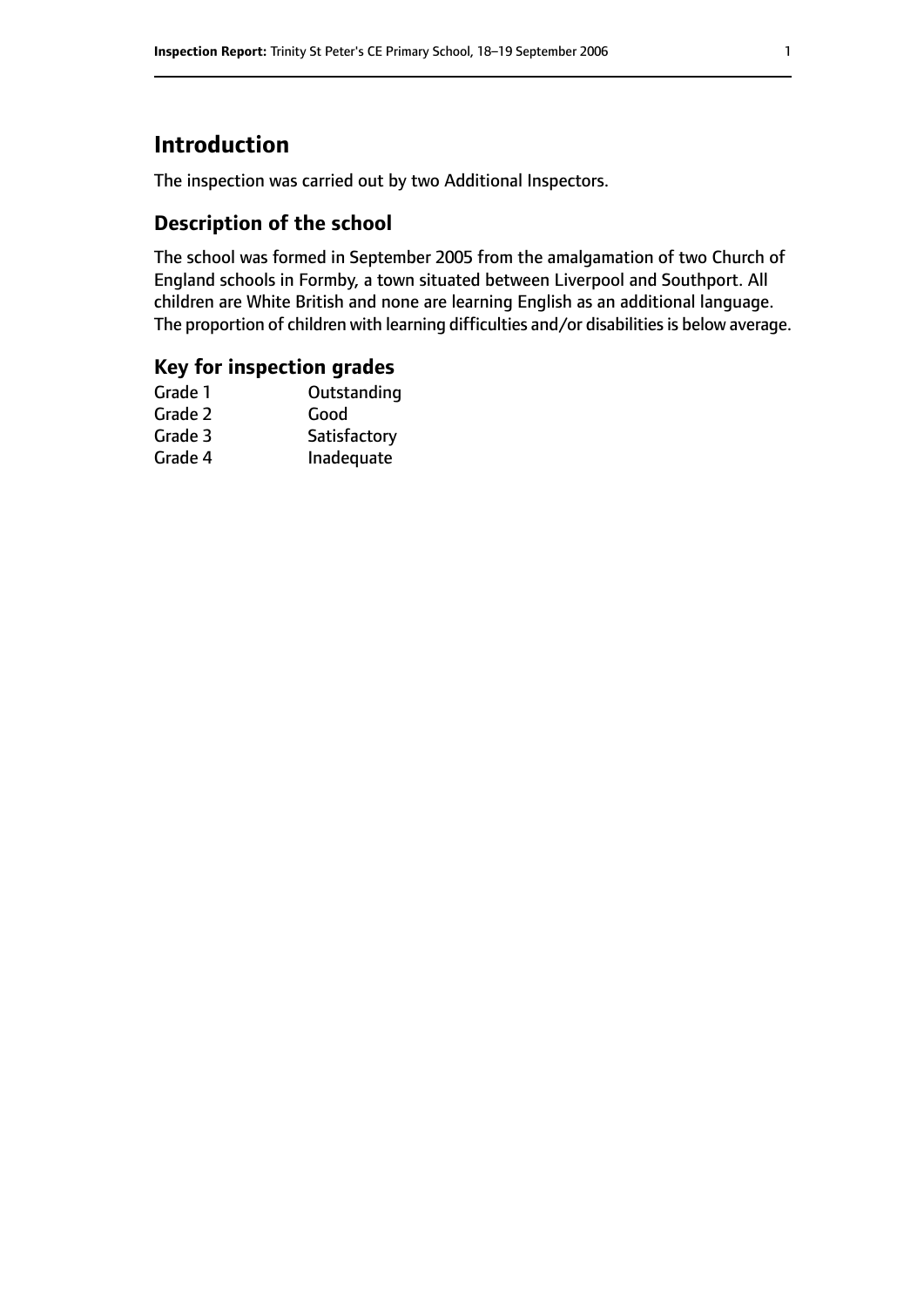## **Introduction**

The inspection was carried out by two Additional Inspectors.

## **Description of the school**

The school was formed in September 2005 from the amalgamation of two Church of England schools in Formby, a town situated between Liverpool and Southport. All children are White British and none are learning English as an additional language. The proportion of children with learning difficulties and/or disabilities is below average.

### **Key for inspection grades**

| Outstanding  |
|--------------|
| Good         |
| Satisfactory |
| Inadequate   |
|              |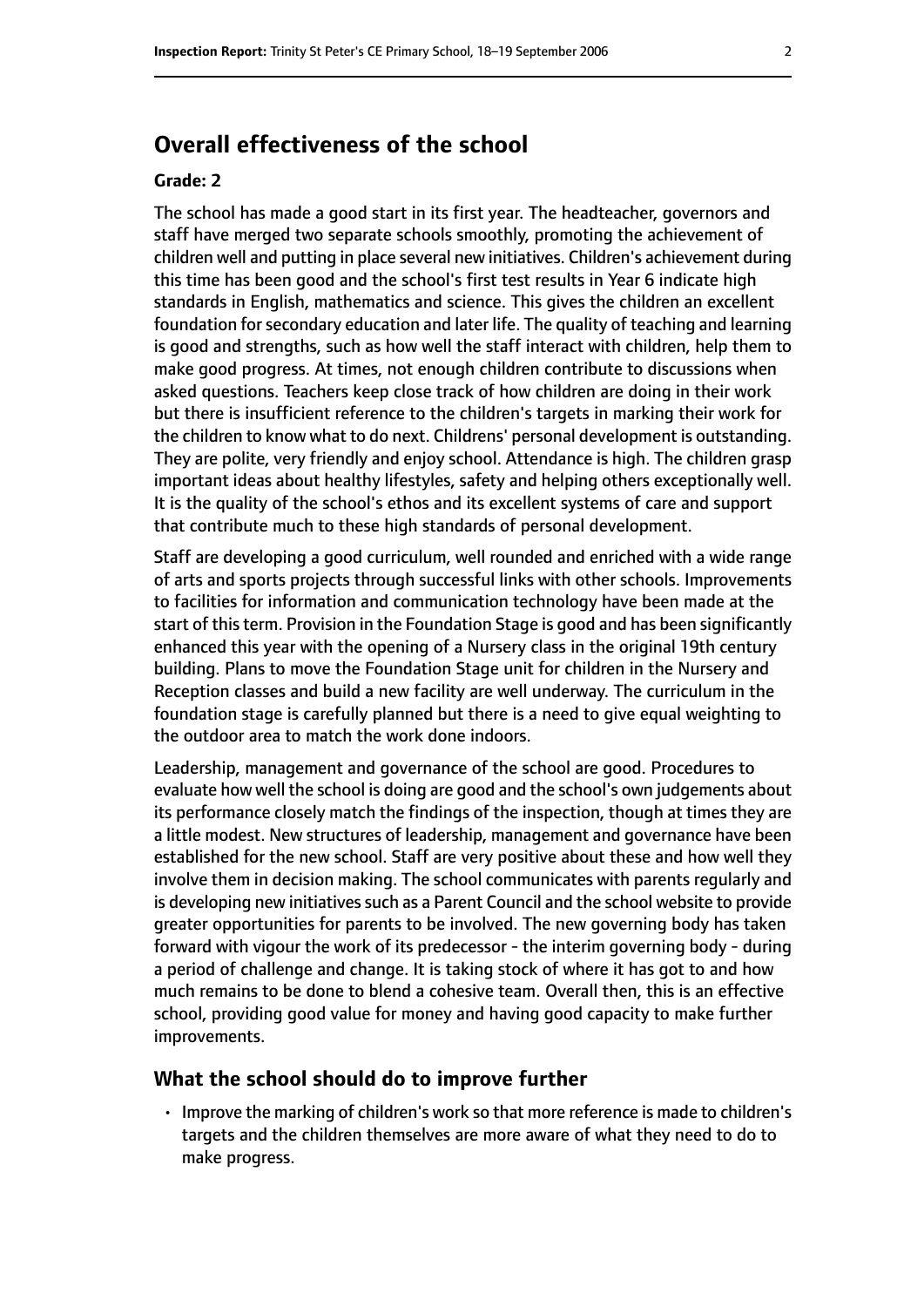## **Overall effectiveness of the school**

#### **Grade: 2**

The school has made a good start in its first year. The headteacher, governors and staff have merged two separate schools smoothly, promoting the achievement of children well and putting in place several new initiatives. Children's achievement during this time has been good and the school's first test results in Year 6 indicate high standards in English, mathematics and science. This gives the children an excellent foundation for secondary education and later life. The quality of teaching and learning is good and strengths, such as how well the staff interact with children, help them to make good progress. At times, not enough children contribute to discussions when asked questions. Teachers keep close track of how children are doing in their work but there is insufficient reference to the children's targets in marking their work for the children to know what to do next. Childrens' personal development is outstanding. They are polite, very friendly and enjoy school. Attendance is high. The children grasp important ideas about healthy lifestyles, safety and helping others exceptionally well. It is the quality of the school's ethos and its excellent systems of care and support that contribute much to these high standards of personal development.

Staff are developing a good curriculum, well rounded and enriched with a wide range of arts and sports projects through successful links with other schools. Improvements to facilities for information and communication technology have been made at the start of this term. Provision in the Foundation Stage is good and has been significantly enhanced this year with the opening of a Nursery class in the original 19th century building. Plans to move the Foundation Stage unit for children in the Nursery and Reception classes and build a new facility are well underway. The curriculum in the foundation stage is carefully planned but there is a need to give equal weighting to the outdoor area to match the work done indoors.

Leadership, management and governance of the school are good. Procedures to evaluate how well the school is doing are good and the school's own judgements about its performance closely match the findings of the inspection, though at times they are a little modest. New structures of leadership, management and governance have been established for the new school. Staff are very positive about these and how well they involve them in decision making. The school communicates with parents regularly and is developing new initiatives such as a Parent Council and the school website to provide greater opportunities for parents to be involved. The new governing body has taken forward with vigour the work of its predecessor - the interim governing body - during a period of challenge and change. It is taking stock of where it has got to and how much remains to be done to blend a cohesive team. Overall then, this is an effective school, providing good value for money and having good capacity to make further improvements.

#### **What the school should do to improve further**

• Improve the marking of children's work so that more reference is made to children's targets and the children themselves are more aware of what they need to do to make progress.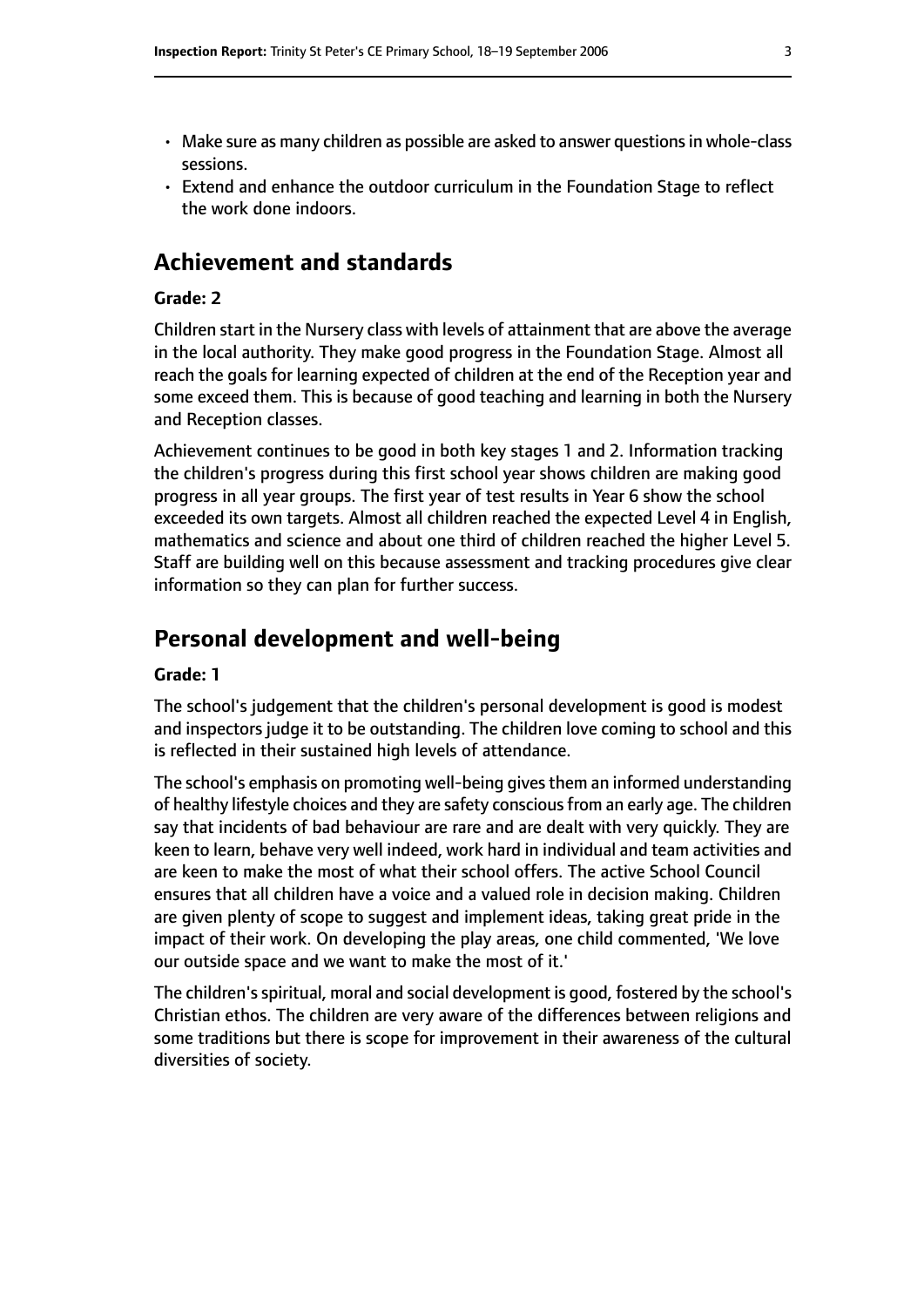- Make sure as many children as possible are asked to answer questions in whole-class sessions.
- Extend and enhance the outdoor curriculum in the Foundation Stage to reflect the work done indoors.

## **Achievement and standards**

#### **Grade: 2**

Children start in the Nursery class with levels of attainment that are above the average in the local authority. They make good progress in the Foundation Stage. Almost all reach the goals for learning expected of children at the end of the Reception year and some exceed them. This is because of good teaching and learning in both the Nursery and Reception classes.

Achievement continues to be good in both key stages 1 and 2. Information tracking the children's progress during this first school year shows children are making good progress in all year groups. The first year of test results in Year 6 show the school exceeded its own targets. Almost all children reached the expected Level 4 in English, mathematics and science and about one third of children reached the higher Level 5. Staff are building well on this because assessment and tracking procedures give clear information so they can plan for further success.

## **Personal development and well-being**

#### **Grade: 1**

The school's judgement that the children's personal development is good is modest and inspectors judge it to be outstanding. The children love coming to school and this is reflected in their sustained high levels of attendance.

The school's emphasis on promoting well-being givesthem an informed understanding of healthy lifestyle choices and they are safety conscious from an early age. The children say that incidents of bad behaviour are rare and are dealt with very quickly. They are keen to learn, behave very well indeed, work hard in individual and team activities and are keen to make the most of what their school offers. The active School Council ensures that all children have a voice and a valued role in decision making. Children are given plenty of scope to suggest and implement ideas, taking great pride in the impact of their work. On developing the play areas, one child commented, 'We love our outside space and we want to make the most of it.'

The children'sspiritual, moral and social development is good, fostered by the school's Christian ethos. The children are very aware of the differences between religions and some traditions but there is scope for improvement in their awareness of the cultural diversities of society.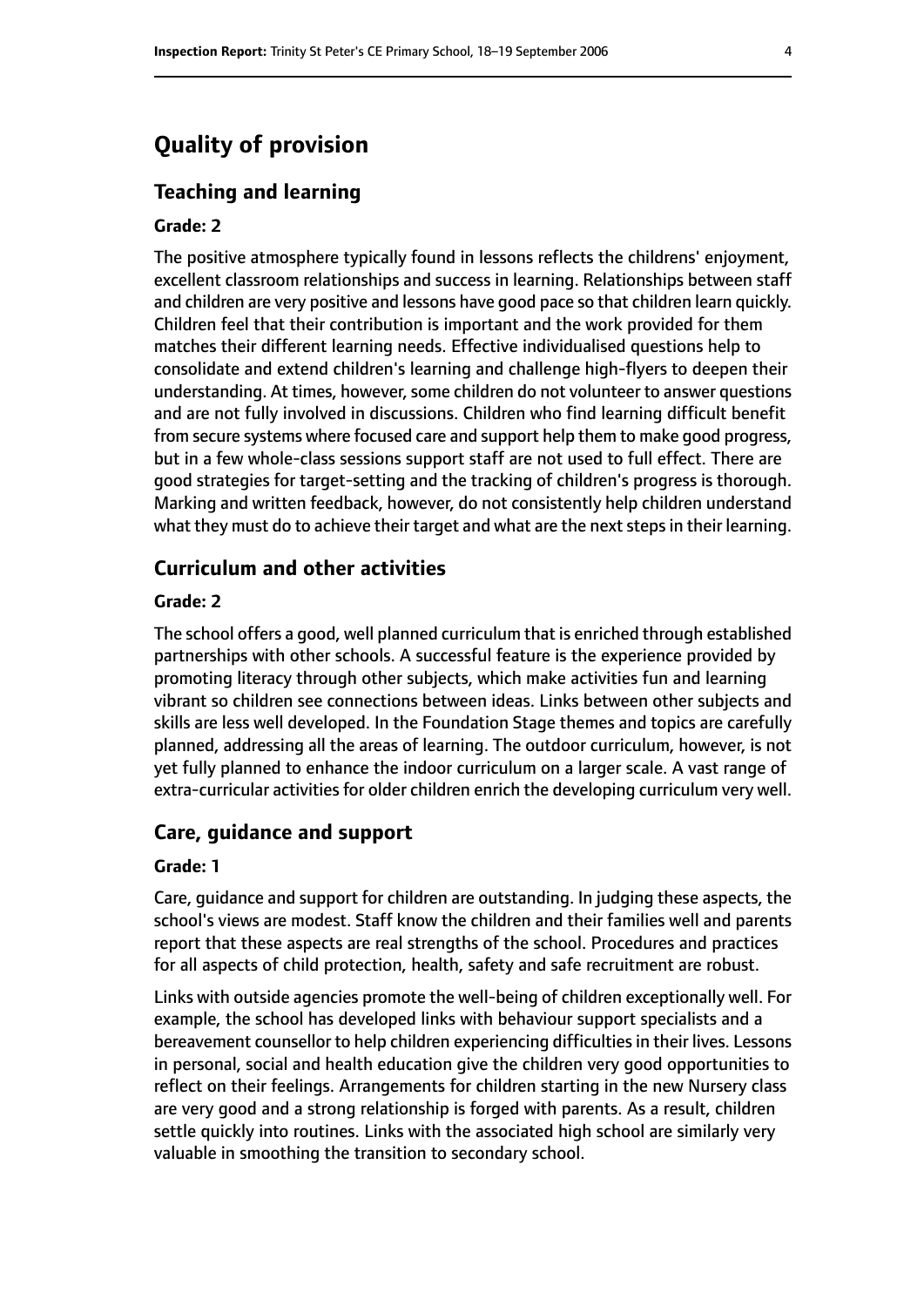## **Quality of provision**

#### **Teaching and learning**

#### **Grade: 2**

The positive atmosphere typically found in lessons reflects the childrens' enjoyment, excellent classroom relationships and success in learning. Relationships between staff and children are very positive and lessons have good pace so that children learn quickly. Children feel that their contribution is important and the work provided for them matches their different learning needs. Effective individualised questions help to consolidate and extend children's learning and challenge high-flyers to deepen their understanding. At times, however, some children do not volunteer to answer questions and are not fully involved in discussions. Children who find learning difficult benefit from secure systems where focused care and support help them to make good progress, but in a few whole-class sessions support staff are not used to full effect. There are good strategies for target-setting and the tracking of children's progress is thorough. Marking and written feedback, however, do not consistently help children understand what they must do to achieve their target and what are the next steps in their learning.

#### **Curriculum and other activities**

#### **Grade: 2**

The school offers a good, well planned curriculum that is enriched through established partnerships with other schools. A successful feature is the experience provided by promoting literacy through other subjects, which make activities fun and learning vibrant so children see connections between ideas. Links between other subjects and skills are less well developed. In the Foundation Stage themes and topics are carefully planned, addressing all the areas of learning. The outdoor curriculum, however, is not yet fully planned to enhance the indoor curriculum on a larger scale. A vast range of extra-curricular activities for older children enrich the developing curriculum very well.

#### **Care, guidance and support**

#### **Grade: 1**

Care, guidance and support for children are outstanding. In judging these aspects, the school's views are modest. Staff know the children and their families well and parents report that these aspects are real strengths of the school. Procedures and practices for all aspects of child protection, health, safety and safe recruitment are robust.

Links with outside agencies promote the well-being of children exceptionally well. For example, the school has developed links with behaviour support specialists and a bereavement counsellor to help children experiencing difficulties in their lives. Lessons in personal, social and health education give the children very good opportunities to reflect on their feelings. Arrangements for children starting in the new Nursery class are very good and a strong relationship is forged with parents. As a result, children settle quickly into routines. Links with the associated high school are similarly very valuable in smoothing the transition to secondary school.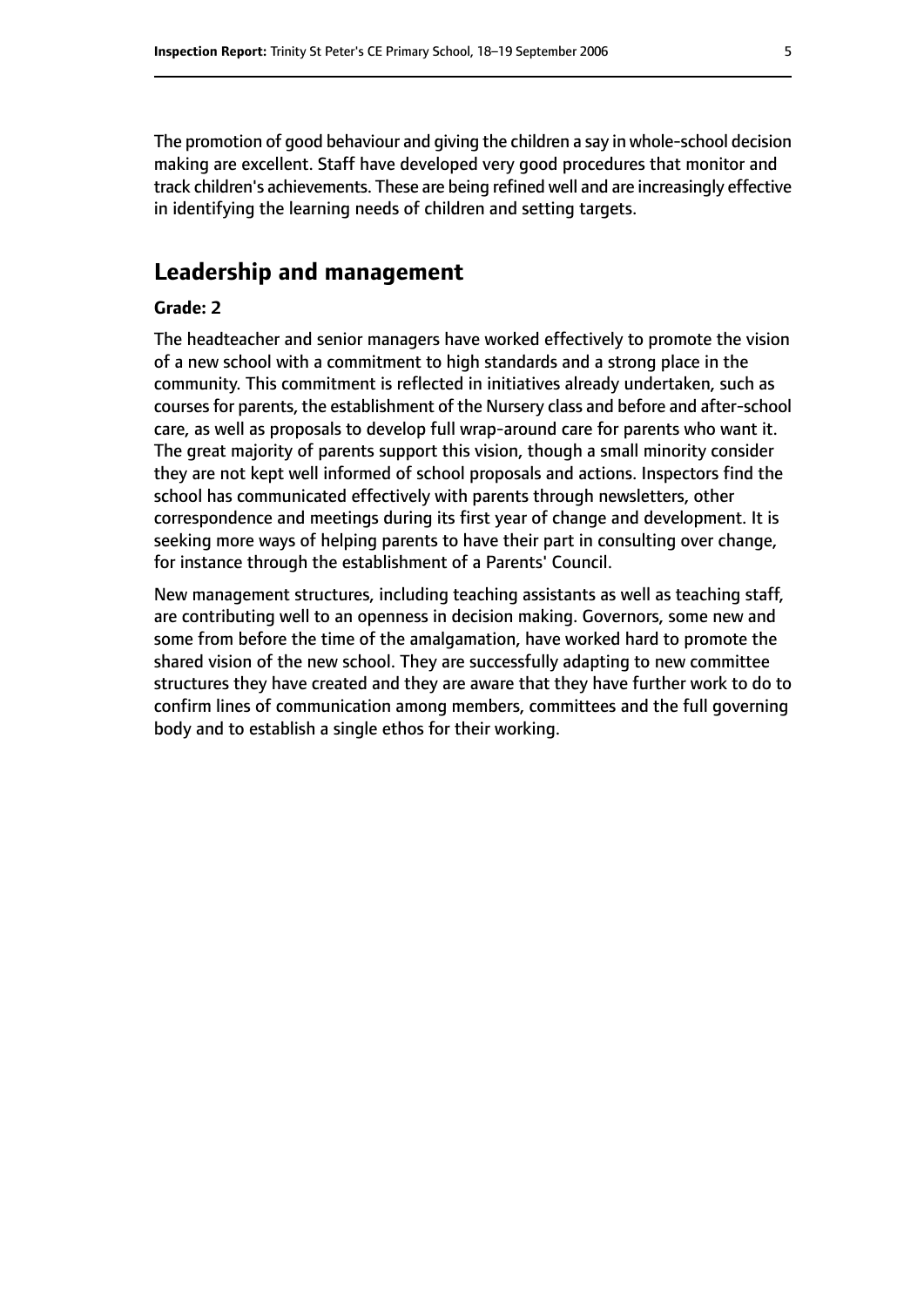The promotion of good behaviour and giving the children a say in whole-school decision making are excellent. Staff have developed very good procedures that monitor and track children's achievements. These are being refined well and are increasingly effective in identifying the learning needs of children and setting targets.

## **Leadership and management**

#### **Grade: 2**

The headteacher and senior managers have worked effectively to promote the vision of a new school with a commitment to high standards and a strong place in the community. This commitment is reflected in initiatives already undertaken, such as coursesfor parents, the establishment of the Nursery class and before and after-school care, as well as proposals to develop full wrap-around care for parents who want it. The great majority of parents support this vision, though a small minority consider they are not kept well informed of school proposals and actions. Inspectors find the school has communicated effectively with parents through newsletters, other correspondence and meetings during its first year of change and development. It is seeking more ways of helping parents to have their part in consulting over change, for instance through the establishment of a Parents' Council.

New management structures, including teaching assistants as well as teaching staff, are contributing well to an openness in decision making. Governors, some new and some from before the time of the amalgamation, have worked hard to promote the shared vision of the new school. They are successfully adapting to new committee structures they have created and they are aware that they have further work to do to confirm lines of communication among members, committees and the full governing body and to establish a single ethos for their working.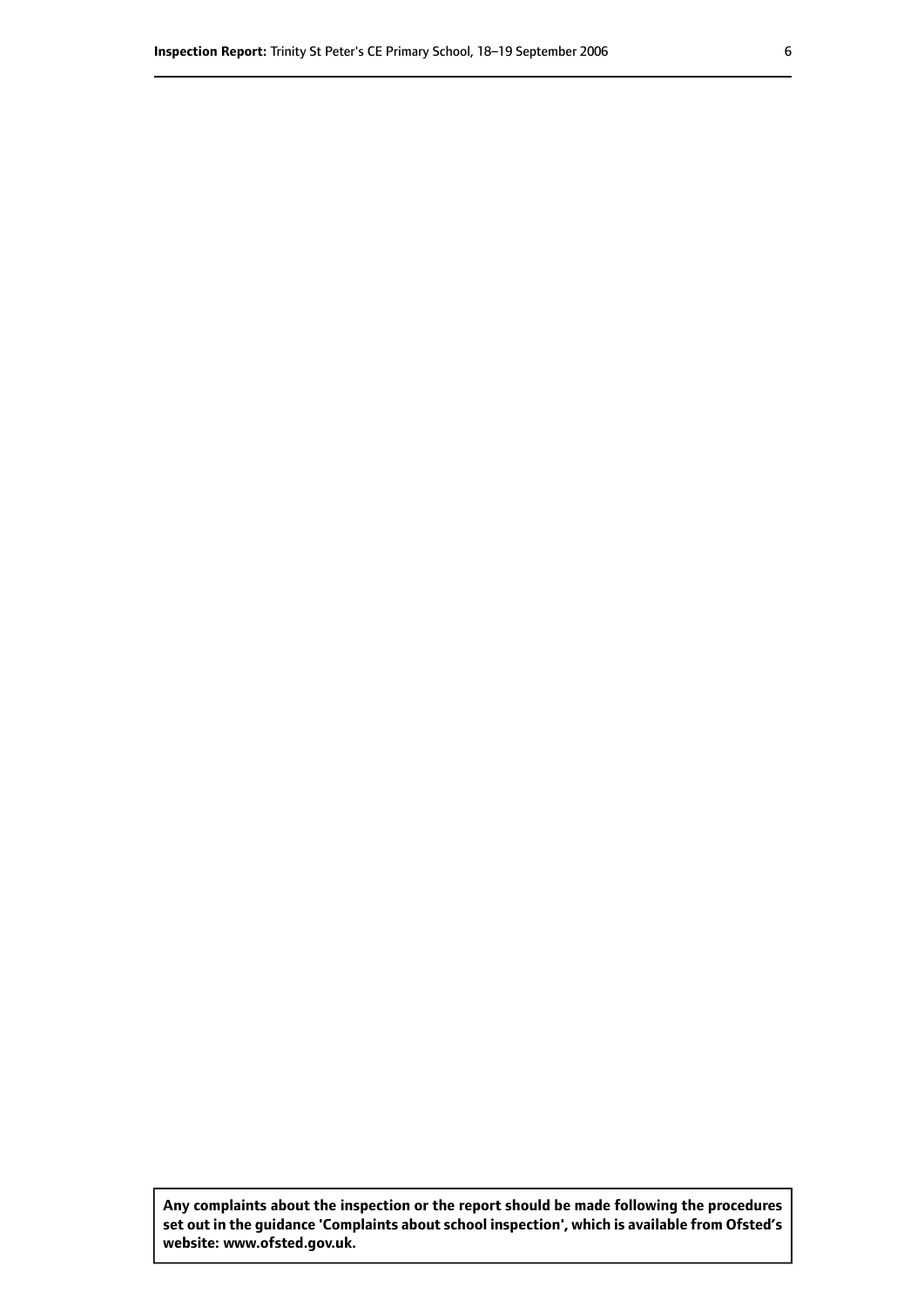**Any complaints about the inspection or the report should be made following the procedures set out inthe guidance 'Complaints about school inspection', whichis available from Ofsted's website: www.ofsted.gov.uk.**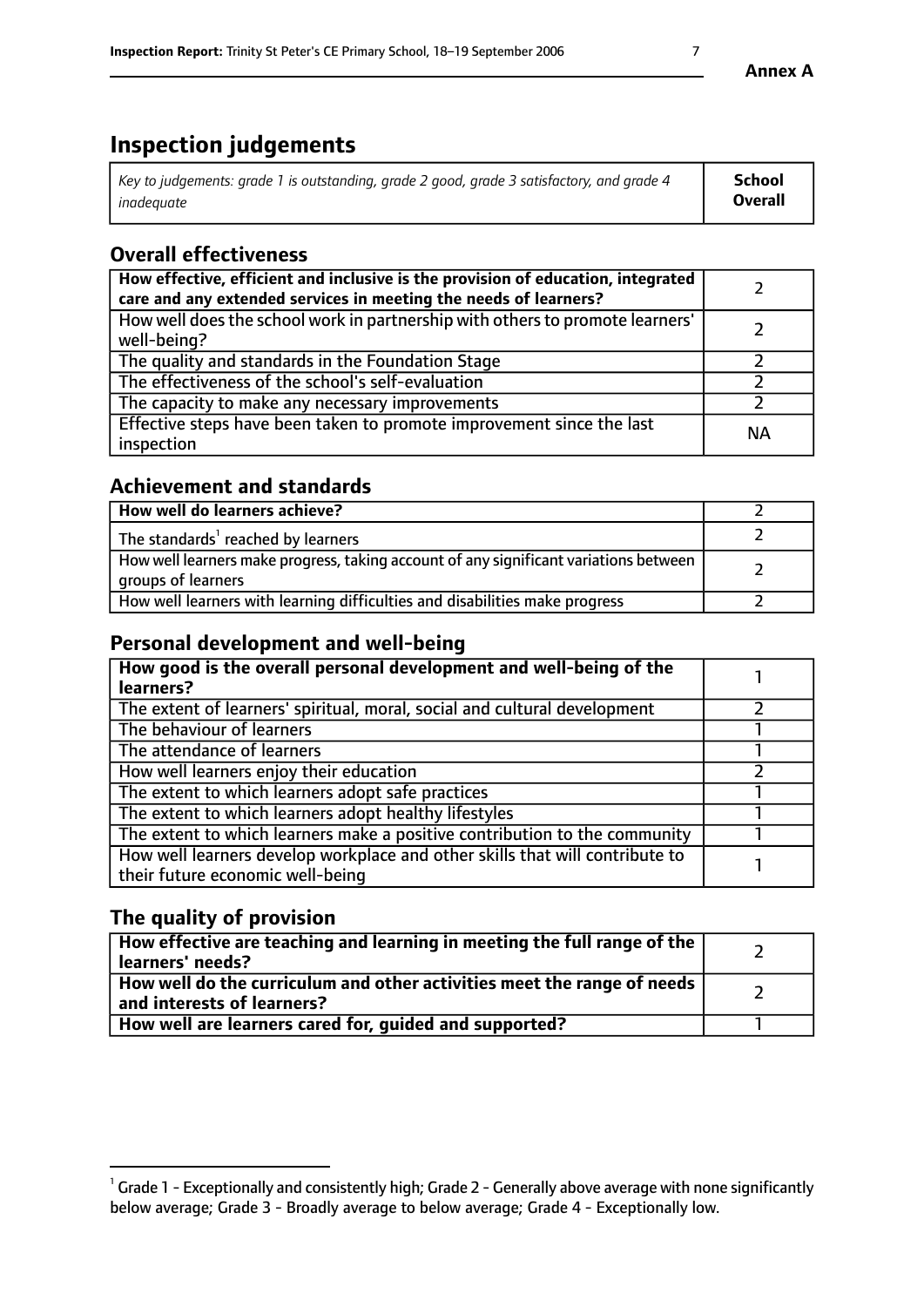# **Inspection judgements**

| Key to judgements: grade 1 is outstanding, grade 2 good, grade 3 satisfactory, and grade 4 | School         |
|--------------------------------------------------------------------------------------------|----------------|
| inadeauate                                                                                 | <b>Overall</b> |

## **Overall effectiveness**

| How effective, efficient and inclusive is the provision of education, integrated<br>care and any extended services in meeting the needs of learners? |           |
|------------------------------------------------------------------------------------------------------------------------------------------------------|-----------|
| How well does the school work in partnership with others to promote learners'<br>well-being?                                                         |           |
| The quality and standards in the Foundation Stage                                                                                                    |           |
| The effectiveness of the school's self-evaluation                                                                                                    |           |
| The capacity to make any necessary improvements                                                                                                      |           |
| Effective steps have been taken to promote improvement since the last<br>inspection                                                                  | <b>NA</b> |

## **Achievement and standards**

| How well do learners achieve?                                                                               |  |
|-------------------------------------------------------------------------------------------------------------|--|
| The standards <sup>1</sup> reached by learners                                                              |  |
| How well learners make progress, taking account of any significant variations between<br>groups of learners |  |
| How well learners with learning difficulties and disabilities make progress                                 |  |

## **Personal development and well-being**

| How good is the overall personal development and well-being of the<br>learners?                                  |  |
|------------------------------------------------------------------------------------------------------------------|--|
| The extent of learners' spiritual, moral, social and cultural development                                        |  |
| The behaviour of learners                                                                                        |  |
| The attendance of learners                                                                                       |  |
| How well learners enjoy their education                                                                          |  |
| The extent to which learners adopt safe practices                                                                |  |
| The extent to which learners adopt healthy lifestyles                                                            |  |
| The extent to which learners make a positive contribution to the community                                       |  |
| How well learners develop workplace and other skills that will contribute to<br>their future economic well-being |  |

## **The quality of provision**

| How effective are teaching and learning in meeting the full range of the<br>learners' needs?          |  |
|-------------------------------------------------------------------------------------------------------|--|
| How well do the curriculum and other activities meet the range of needs<br>and interests of learners? |  |
| How well are learners cared for, guided and supported?                                                |  |

 $^1$  Grade 1 - Exceptionally and consistently high; Grade 2 - Generally above average with none significantly below average; Grade 3 - Broadly average to below average; Grade 4 - Exceptionally low.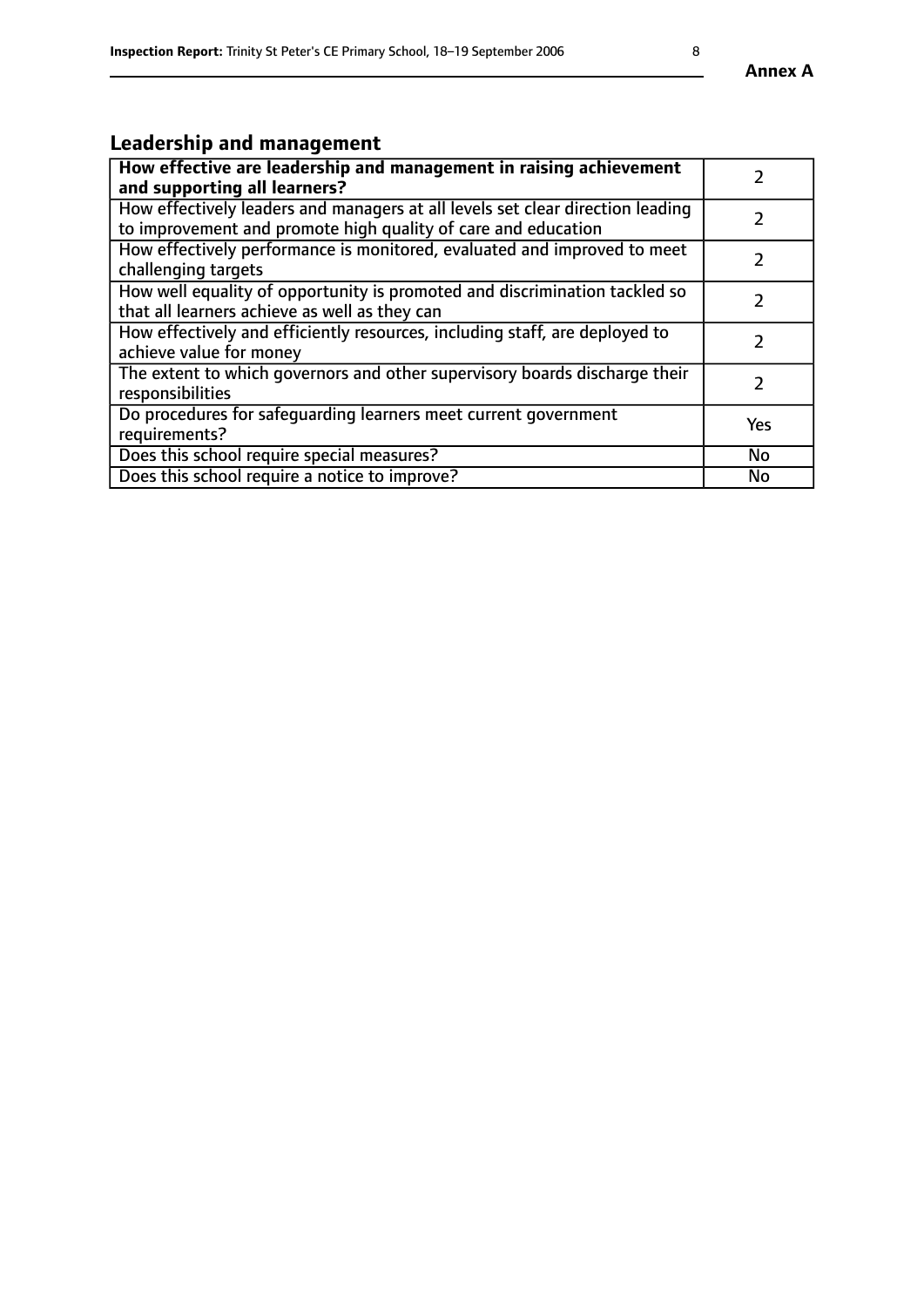## **Leadership and management**

| How effective are leadership and management in raising achievement<br>and supporting all learners?                                              |               |
|-------------------------------------------------------------------------------------------------------------------------------------------------|---------------|
| How effectively leaders and managers at all levels set clear direction leading<br>to improvement and promote high quality of care and education |               |
| How effectively performance is monitored, evaluated and improved to meet<br>challenging targets                                                 | $\mathcal{L}$ |
| How well equality of opportunity is promoted and discrimination tackled so<br>that all learners achieve as well as they can                     |               |
| How effectively and efficiently resources, including staff, are deployed to<br>achieve value for money                                          | $\mathcal{L}$ |
| The extent to which governors and other supervisory boards discharge their<br>responsibilities                                                  |               |
| Do procedures for safequarding learners meet current government<br>requirements?                                                                | Yes           |
| Does this school require special measures?                                                                                                      | No            |
| Does this school require a notice to improve?                                                                                                   | <b>No</b>     |